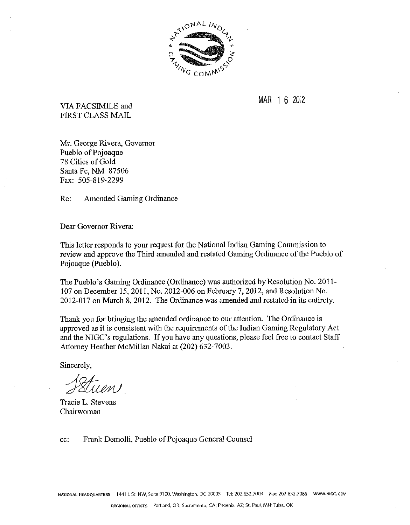

MAR 1 **6** 2012 VIA FACSIMILE and FIRST CLASS MAIL

Mr. George Rivera, Governor Pueblo of Pojoaque 78 Cities of Gold Santa Fe, NM 87506 Fax: 505-819-2299

Re: Amended Gaming Ordinance

Dear Governor Rivera:

This letter responds to your request for the National Indian Gaming Commission to review and approve the Third amended and restated Gaming Ordinance of the Pueblo of Pojoaque (Pueblo).

The Pueblo's Gaming Ordinance (Ordinance) was authorized by Resolution No. 201 1- 107 on December 15, 2011, No. 2012-006 on February 7, 2012, and Resolution No. 2012-017 on March 8, 2012. The Ordinance was amended and restated in its entirety.

Thank you for bringing the amended ordinance to our attention. The Ordinance is approved as it is consistent with the requirements of the Indian Gaming Regulatory Act and the NIGC's regulations. If you have any questions, please feel free to contact Staff Attorney Heather McMillan Nakai at (202) 632-7003.

Sincerely,

Tuen

Tracie L. Stevens Chairwoman

cc: Frank Demolli, Pueblo of Pojoaque General Counsel

**F~AT~~NAL HEADQUARTERS** 1441 L St. NW, Suite 9100. Washington, DC 20005 Tel: 202.632.7U03 Fax: 202632.7066 **WWW.NIGC.GOV**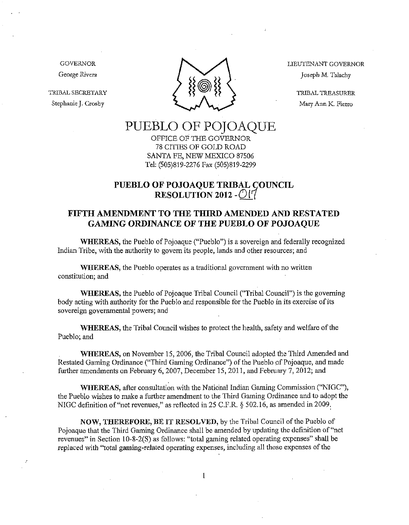GOVERNOR George Rivera

TRIBAL SECRETARY Stephanie J. Crosby



LIEUTENANT GOVERNOR Joseph M. Talachy

> TRIBAL TREASURER Mary Ann K. Fierro

# PUEBLO OF POJOAQUE<br>OFFICE OF THE GOVERNOR

78 CITIES OF GOLD ROAD SANTA FE, NEW MEXICO 87506 Tel: (505)819-2276 Fax (505)819-2299

# **PUEBLO OF POJOAQUE TRIBAL RESOLUTION 2012 - 017**

## **FIFTH AMENDMENT TO THE THIRD AMENDED AND RESTATED GAMING ORDINANCE OF THE PUEBLO OR POJOAQUE**

**WHEREAS,** the Pueblo of Pojoaque ("Pueblo") is a sovereign and federally recognized Indian Tribe, with the authority to govern its people, lands and other resources; and

**WHEREAS,** the Pueblo operates as a traditional government with no written constitution; and

**WHEREAS,** the Pueblo of Pojoaque Tribal Council ("Tribal Council") is the governing body acting with authority for the Pueblo and responsible for the Pueblo in its exercise of its sovereign governmental powers; and

**WHEREAS,** the Tribal Council wishes to protect the health, safety and welfare of the Pueblo; and

**WHEREAS,** on November 15,2006, the Tribal Council adopted the Third Amended and Restated Gaming Ordinance ("Third Gaming Ordinance") of the Pueblo of Pojoaque, and made further amendments on February 6,2007, December 15,201 1, and February 7, 2012; and

WHEREAS, after consultation with the National Indian Gaming Commission ("NIGC"), the Pueblo wishes to malce a further amendment to the Third Gaming Ordinance and to adopt the NIGC definition of "net revenues," as reflected in 25 C.F.R. *5* 502.16, as amended in 2009.

**NOW, THEREFORE, BE IT RESOLVED,** by the Tribal Council of the Pueblo of Pojoaque that the Third Gaming Ordinance shall be amended by updating the definition of "net revenues" in Section 10-8-2(S) as follows: "total gaming related operating expenses" shall be replaced with "total gaming-related operating expenses, including all those expenses of the

 $\mathbf{1}$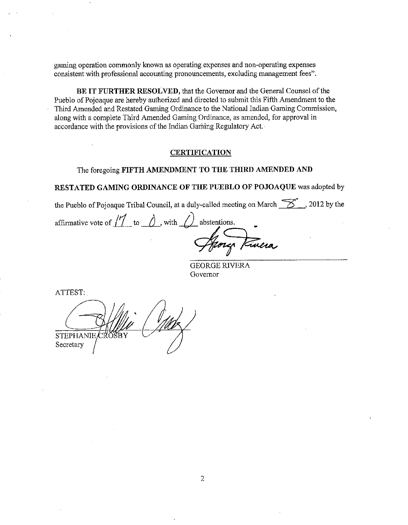gaming operation commonly known as operating expenses and non-operating expenses consistent with professional accounting pronouncements, excluding management fees".

BE IT FURTHER RESOLVED, that the Governor and the General Counsel of the Pueblo of Pojoaque are hereby authorized and directed to submit this Fifth Amendment to the Third Amended and Restated Gaming Ordinance to the National Indian Gaming Commission, along with a complete Third Amended Gaming Ordinance, as amended, for approval in accordance with the provisions of the Indian Gaming Rcgulatory Act.

#### CERTIFICATION

#### The foregoing FIFTH AMENDMENT TO THE THIRD AMENDED AND

#### RESTATED GAMING ORDINANCE OF THE PUEBLO OF POJOAQUE was adopted by

the Pueblo of Pojoaque Tribal Council, at a duly-called meeting on March  $\frac{1}{\sqrt{2}}$ , 2012 by the

affirmative vote of  $\overline{11}$  to  $\overline{0}$ , with  $\overline{0}$  abstentions. entions.<br>
4<sup>2</sup>

GEORGE RIVERA Governor

ATTEST:

STEPHANIE<br>Secretary /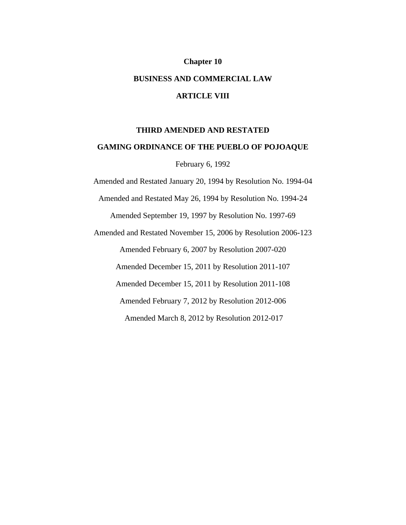# **Chapter 10 BUSINESS AND COMMERCIAL LAW ARTICLE VIII**

#### **THIRD AMENDED AND RESTATED**

#### **GAMING ORDINANCE OF THE PUEBLO OF POJOAQUE**

February 6, 1992

Amended and Restated January 20, 1994 by Resolution No. 1994-04

Amended and Restated May 26, 1994 by Resolution No. 1994-24

Amended September 19, 1997 by Resolution No. 1997-69

Amended and Restated November 15, 2006 by Resolution 2006-123

Amended February 6, 2007 by Resolution 2007-020

Amended December 15, 2011 by Resolution 2011-107

Amended December 15, 2011 by Resolution 2011-108

Amended February 7, 2012 by Resolution 2012-006

Amended March 8, 2012 by Resolution 2012-017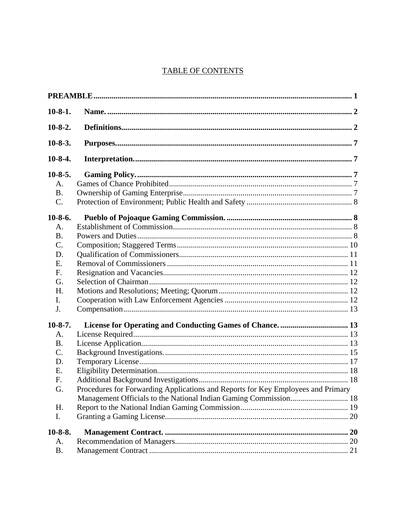# **TABLE OF CONTENTS**

| $10-8-1.$ |                                                                                  |  |
|-----------|----------------------------------------------------------------------------------|--|
| $10-8-2.$ |                                                                                  |  |
| $10-8-3.$ |                                                                                  |  |
| $10-8-4.$ |                                                                                  |  |
| $10-8-5.$ |                                                                                  |  |
| A.        |                                                                                  |  |
| <b>B.</b> |                                                                                  |  |
| C.        |                                                                                  |  |
| $10-8-6.$ |                                                                                  |  |
| A.        |                                                                                  |  |
| <b>B.</b> |                                                                                  |  |
| C.        |                                                                                  |  |
| D.        |                                                                                  |  |
| E.        |                                                                                  |  |
| F.        |                                                                                  |  |
| G.        |                                                                                  |  |
| H.        |                                                                                  |  |
| I.        |                                                                                  |  |
| J.        |                                                                                  |  |
| $10-8-7.$ |                                                                                  |  |
| A.        |                                                                                  |  |
| <b>B.</b> |                                                                                  |  |
| C.        |                                                                                  |  |
| D.        |                                                                                  |  |
| E.        |                                                                                  |  |
| F.        |                                                                                  |  |
| G.        | Procedures for Forwarding Applications and Reports for Key Employees and Primary |  |
|           |                                                                                  |  |
| H.        |                                                                                  |  |
| I.        |                                                                                  |  |
| $10-8-8.$ |                                                                                  |  |
| A.        |                                                                                  |  |
| <b>B.</b> |                                                                                  |  |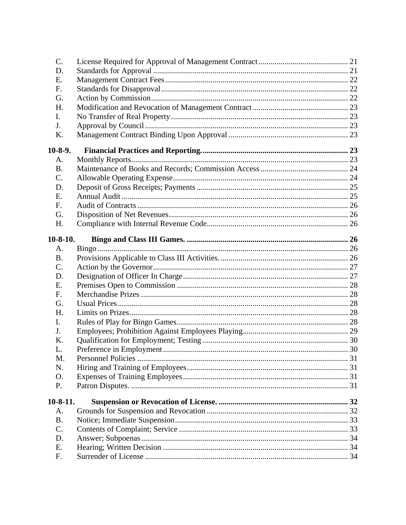| C.             |  |
|----------------|--|
| D.             |  |
| Е.             |  |
| F.             |  |
| G.             |  |
| H.             |  |
| I.             |  |
| J.             |  |
| K.             |  |
| $10-8-9.$      |  |
| A.             |  |
| <b>B.</b>      |  |
| $\mathsf{C}$ . |  |
| D.             |  |
| Ε.             |  |
| F.             |  |
| G.             |  |
| H.             |  |
| $10-8-10.$     |  |
| А.             |  |
| <b>B.</b>      |  |
| C.             |  |
| D.             |  |
| Ε.             |  |
| F.             |  |
| G.             |  |
| Н.             |  |
| I.             |  |
| J.             |  |
| Κ.             |  |
| L.             |  |
| M.             |  |
| N.             |  |
| Ο.             |  |
| P.             |  |
| $10-8-11.$     |  |
| A.             |  |
| <b>B.</b>      |  |
| C.             |  |
| D.             |  |
| E.             |  |
| F.             |  |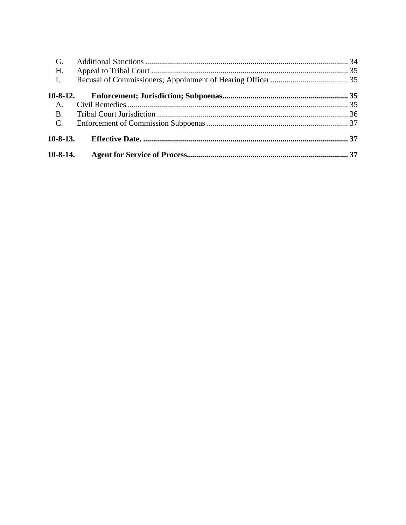| $10-8-14.$      |  |
|-----------------|--|
| $10-8-13.$      |  |
| $\mathcal{C}$ . |  |
| <b>B.</b>       |  |
| A.              |  |
| $10-8-12.$      |  |
| I.              |  |
| H.              |  |
| G.              |  |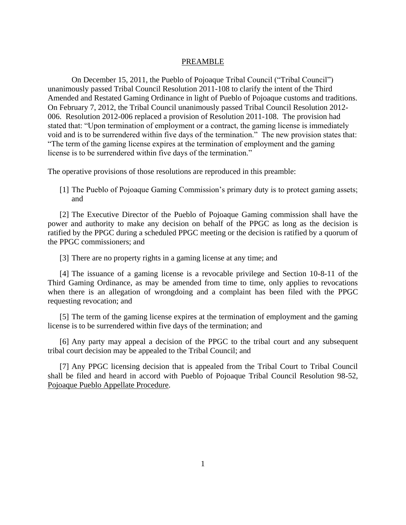#### PREAMBLE

<span id="page-7-0"></span>On December 15, 2011, the Pueblo of Pojoaque Tribal Council ("Tribal Council") unanimously passed Tribal Council Resolution 2011-108 to clarify the intent of the Third Amended and Restated Gaming Ordinance in light of Pueblo of Pojoaque customs and traditions. On February 7, 2012, the Tribal Council unanimously passed Tribal Council Resolution 2012- 006. Resolution 2012-006 replaced a provision of Resolution 2011-108. The provision had stated that: "Upon termination of employment or a contract, the gaming license is immediately void and is to be surrendered within five days of the termination." The new provision states that: "The term of the gaming license expires at the termination of employment and the gaming license is to be surrendered within five days of the termination."

The operative provisions of those resolutions are reproduced in this preamble:

[1] The Pueblo of Pojoaque Gaming Commission's primary duty is to protect gaming assets; and

[2] The Executive Director of the Pueblo of Pojoaque Gaming commission shall have the power and authority to make any decision on behalf of the PPGC as long as the decision is ratified by the PPGC during a scheduled PPGC meeting or the decision is ratified by a quorum of the PPGC commissioners; and

[3] There are no property rights in a gaming license at any time; and

[4] The issuance of a gaming license is a revocable privilege and Section 10-8-11 of the Third Gaming Ordinance, as may be amended from time to time, only applies to revocations when there is an allegation of wrongdoing and a complaint has been filed with the PPGC requesting revocation; and

[5] The term of the gaming license expires at the termination of employment and the gaming license is to be surrendered within five days of the termination; and

[6] Any party may appeal a decision of the PPGC to the tribal court and any subsequent tribal court decision may be appealed to the Tribal Council; and

[7] Any PPGC licensing decision that is appealed from the Tribal Court to Tribal Council shall be filed and heard in accord with Pueblo of Pojoaque Tribal Council Resolution 98-52, Pojoaque Pueblo Appellate Procedure.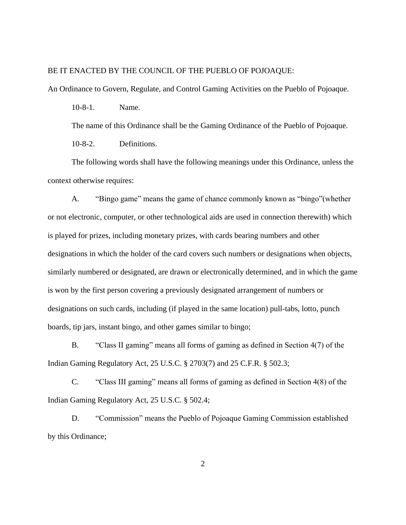#### BE IT ENACTED BY THE COUNCIL OF THE PUEBLO OF POJOAQUE:

<span id="page-8-0"></span>An Ordinance to Govern, Regulate, and Control Gaming Activities on the Pueblo of Pojoaque.

10-8-1. Name.

The name of this Ordinance shall be the Gaming Ordinance of the Pueblo of Pojoaque.

10-8-2. Definitions.

<span id="page-8-1"></span>The following words shall have the following meanings under this Ordinance, unless the context otherwise requires:

A. "Bingo game" means the game of chance commonly known as "bingo"(whether or not electronic, computer, or other technological aids are used in connection therewith) which is played for prizes, including monetary prizes, with cards bearing numbers and other designations in which the holder of the card covers such numbers or designations when objects, similarly numbered or designated, are drawn or electronically determined, and in which the game is won by the first person covering a previously designated arrangement of numbers or designations on such cards, including (if played in the same location) pull-tabs, lotto, punch boards, tip jars, instant bingo, and other games similar to bingo;

B. "Class II gaming" means all forms of gaming as defined in Section 4(7) of the Indian Gaming Regulatory Act, 25 U.S.C. § 2703(7) and 25 C.F.R. § 502.3;

C. "Class III gaming" means all forms of gaming as defined in Section 4(8) of the Indian Gaming Regulatory Act, 25 U.S.C. § 502.4;

D. "Commission" means the Pueblo of Pojoaque Gaming Commission established by this Ordinance;

2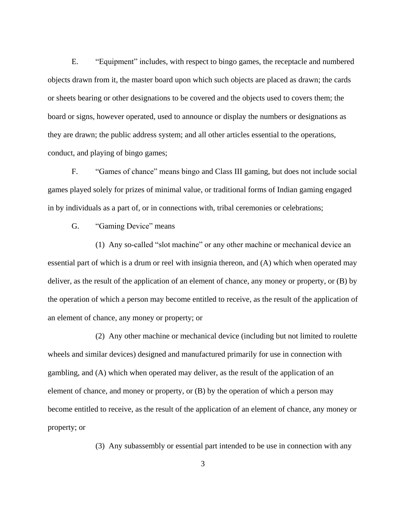E. "Equipment" includes, with respect to bingo games, the receptacle and numbered objects drawn from it, the master board upon which such objects are placed as drawn; the cards or sheets bearing or other designations to be covered and the objects used to covers them; the board or signs, however operated, used to announce or display the numbers or designations as they are drawn; the public address system; and all other articles essential to the operations, conduct, and playing of bingo games;

F. "Games of chance" means bingo and Class III gaming, but does not include social games played solely for prizes of minimal value, or traditional forms of Indian gaming engaged in by individuals as a part of, or in connections with, tribal ceremonies or celebrations;

G. "Gaming Device" means

(1) Any so-called "slot machine" or any other machine or mechanical device an essential part of which is a drum or reel with insignia thereon, and (A) which when operated may deliver, as the result of the application of an element of chance, any money or property, or (B) by the operation of which a person may become entitled to receive, as the result of the application of an element of chance, any money or property; or

(2) Any other machine or mechanical device (including but not limited to roulette wheels and similar devices) designed and manufactured primarily for use in connection with gambling, and (A) which when operated may deliver, as the result of the application of an element of chance, and money or property, or (B) by the operation of which a person may become entitled to receive, as the result of the application of an element of chance, any money or property; or

(3) Any subassembly or essential part intended to be use in connection with any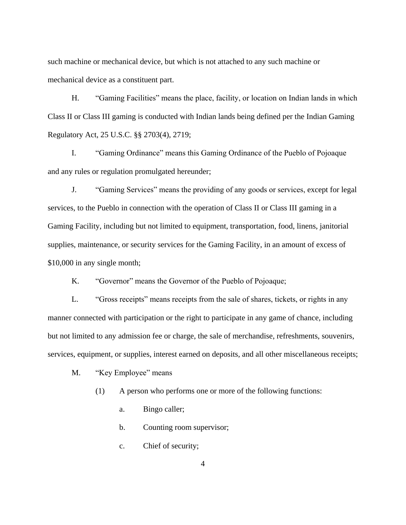such machine or mechanical device, but which is not attached to any such machine or mechanical device as a constituent part.

H. "Gaming Facilities" means the place, facility, or location on Indian lands in which Class II or Class III gaming is conducted with Indian lands being defined per the Indian Gaming Regulatory Act, 25 U.S.C. §§ 2703(4), 2719;

I. "Gaming Ordinance" means this Gaming Ordinance of the Pueblo of Pojoaque and any rules or regulation promulgated hereunder;

J. "Gaming Services" means the providing of any goods or services, except for legal services, to the Pueblo in connection with the operation of Class II or Class III gaming in a Gaming Facility, including but not limited to equipment, transportation, food, linens, janitorial supplies, maintenance, or security services for the Gaming Facility, in an amount of excess of \$10,000 in any single month;

K. "Governor" means the Governor of the Pueblo of Pojoaque;

L. "Gross receipts" means receipts from the sale of shares, tickets, or rights in any manner connected with participation or the right to participate in any game of chance, including but not limited to any admission fee or charge, the sale of merchandise, refreshments, souvenirs, services, equipment, or supplies, interest earned on deposits, and all other miscellaneous receipts;

M. "Key Employee" means

(1) A person who performs one or more of the following functions:

- a. Bingo caller;
- b. Counting room supervisor;
- c. Chief of security;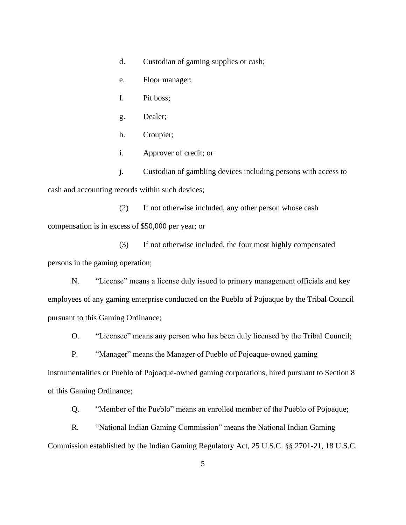- d. Custodian of gaming supplies or cash;
- e. Floor manager;
- f. Pit boss;
- g. Dealer;
- h. Croupier;
- i. Approver of credit; or
- j. Custodian of gambling devices including persons with access to cash and accounting records within such devices;

(2) If not otherwise included, any other person whose cash compensation is in excess of \$50,000 per year; or

(3) If not otherwise included, the four most highly compensated persons in the gaming operation;

N. "License" means a license duly issued to primary management officials and key employees of any gaming enterprise conducted on the Pueblo of Pojoaque by the Tribal Council pursuant to this Gaming Ordinance;

O. "Licensee" means any person who has been duly licensed by the Tribal Council;

P. "Manager" means the Manager of Pueblo of Pojoaque-owned gaming instrumentalities or Pueblo of Pojoaque-owned gaming corporations, hired pursuant to Section 8

of this Gaming Ordinance;

Q. "Member of the Pueblo" means an enrolled member of the Pueblo of Pojoaque;

R. "National Indian Gaming Commission" means the National Indian Gaming Commission established by the Indian Gaming Regulatory Act, 25 U.S.C. §§ 2701-21, 18 U.S.C.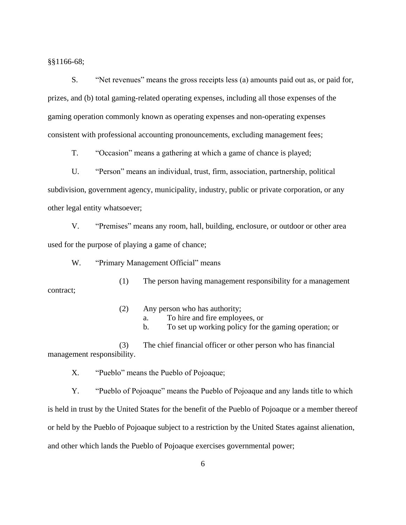§§1166-68;

S. "Net revenues" means the gross receipts less (a) amounts paid out as, or paid for, prizes, and (b) total gaming-related operating expenses, including all those expenses of the gaming operation commonly known as operating expenses and non-operating expenses consistent with professional accounting pronouncements, excluding management fees;

T. "Occasion" means a gathering at which a game of chance is played;

U. "Person" means an individual, trust, firm, association, partnership, political subdivision, government agency, municipality, industry, public or private corporation, or any other legal entity whatsoever;

V. "Premises" means any room, hall, building, enclosure, or outdoor or other area used for the purpose of playing a game of chance;

W. "Primary Management Official" means

(1) The person having management responsibility for a management contract;

- (2) Any person who has authority;
	- a. To hire and fire employees, or
	- b. To set up working policy for the gaming operation; or

(3) The chief financial officer or other person who has financial management responsibility.

X. "Pueblo" means the Pueblo of Pojoaque;

Y. "Pueblo of Pojoaque" means the Pueblo of Pojoaque and any lands title to which is held in trust by the United States for the benefit of the Pueblo of Pojoaque or a member thereof or held by the Pueblo of Pojoaque subject to a restriction by the United States against alienation, and other which lands the Pueblo of Pojoaque exercises governmental power;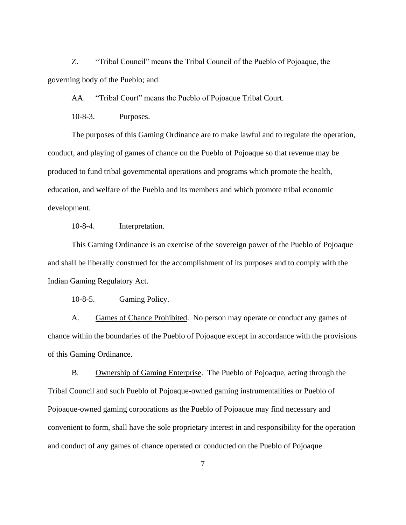Z. "Tribal Council" means the Tribal Council of the Pueblo of Pojoaque, the governing body of the Pueblo; and

AA. "Tribal Court" means the Pueblo of Pojoaque Tribal Court.

10-8-3. Purposes.

<span id="page-13-0"></span>The purposes of this Gaming Ordinance are to make lawful and to regulate the operation, conduct, and playing of games of chance on the Pueblo of Pojoaque so that revenue may be produced to fund tribal governmental operations and programs which promote the health, education, and welfare of the Pueblo and its members and which promote tribal economic development.

10-8-4. Interpretation.

<span id="page-13-1"></span>This Gaming Ordinance is an exercise of the sovereign power of the Pueblo of Pojoaque and shall be liberally construed for the accomplishment of its purposes and to comply with the Indian Gaming Regulatory Act.

<span id="page-13-3"></span>10-8-5. Gaming Policy.

<span id="page-13-2"></span>A. Games of Chance Prohibited. No person may operate or conduct any games of chance within the boundaries of the Pueblo of Pojoaque except in accordance with the provisions of this Gaming Ordinance.

<span id="page-13-4"></span>B. Ownership of Gaming Enterprise. The Pueblo of Pojoaque, acting through the Tribal Council and such Pueblo of Pojoaque-owned gaming instrumentalities or Pueblo of Pojoaque-owned gaming corporations as the Pueblo of Pojoaque may find necessary and convenient to form, shall have the sole proprietary interest in and responsibility for the operation and conduct of any games of chance operated or conducted on the Pueblo of Pojoaque.

7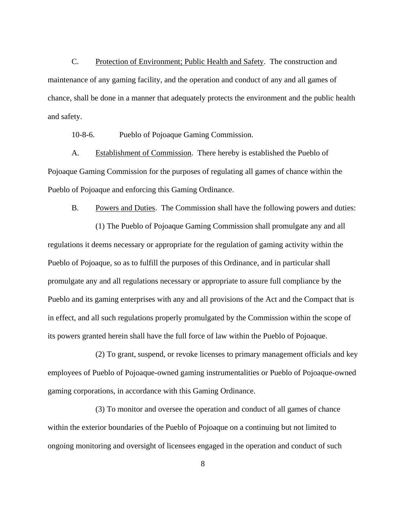<span id="page-14-0"></span>C. Protection of Environment; Public Health and Safety. The construction and maintenance of any gaming facility, and the operation and conduct of any and all games of chance, shall be done in a manner that adequately protects the environment and the public health and safety.

<span id="page-14-2"></span>10-8-6. Pueblo of Pojoaque Gaming Commission.

<span id="page-14-1"></span>A. Establishment of Commission. There hereby is established the Pueblo of Pojoaque Gaming Commission for the purposes of regulating all games of chance within the Pueblo of Pojoaque and enforcing this Gaming Ordinance.

<span id="page-14-3"></span>B. Powers and Duties. The Commission shall have the following powers and duties:

(1) The Pueblo of Pojoaque Gaming Commission shall promulgate any and all regulations it deems necessary or appropriate for the regulation of gaming activity within the Pueblo of Pojoaque, so as to fulfill the purposes of this Ordinance, and in particular shall promulgate any and all regulations necessary or appropriate to assure full compliance by the Pueblo and its gaming enterprises with any and all provisions of the Act and the Compact that is in effect, and all such regulations properly promulgated by the Commission within the scope of its powers granted herein shall have the full force of law within the Pueblo of Pojoaque.

(2) To grant, suspend, or revoke licenses to primary management officials and key employees of Pueblo of Pojoaque-owned gaming instrumentalities or Pueblo of Pojoaque-owned gaming corporations, in accordance with this Gaming Ordinance.

(3) To monitor and oversee the operation and conduct of all games of chance within the exterior boundaries of the Pueblo of Pojoaque on a continuing but not limited to ongoing monitoring and oversight of licensees engaged in the operation and conduct of such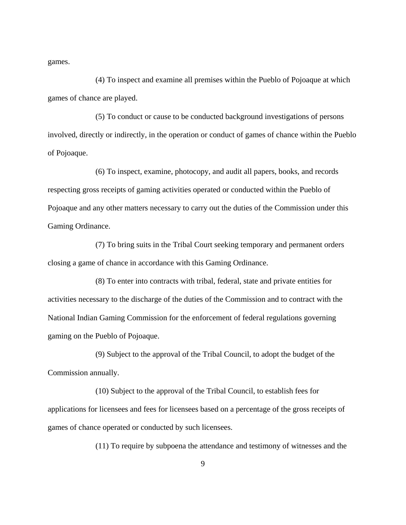games.

(4) To inspect and examine all premises within the Pueblo of Pojoaque at which games of chance are played.

(5) To conduct or cause to be conducted background investigations of persons involved, directly or indirectly, in the operation or conduct of games of chance within the Pueblo of Pojoaque.

(6) To inspect, examine, photocopy, and audit all papers, books, and records respecting gross receipts of gaming activities operated or conducted within the Pueblo of Pojoaque and any other matters necessary to carry out the duties of the Commission under this Gaming Ordinance.

(7) To bring suits in the Tribal Court seeking temporary and permanent orders closing a game of chance in accordance with this Gaming Ordinance.

(8) To enter into contracts with tribal, federal, state and private entities for activities necessary to the discharge of the duties of the Commission and to contract with the National Indian Gaming Commission for the enforcement of federal regulations governing gaming on the Pueblo of Pojoaque.

(9) Subject to the approval of the Tribal Council, to adopt the budget of the Commission annually.

(10) Subject to the approval of the Tribal Council, to establish fees for applications for licensees and fees for licensees based on a percentage of the gross receipts of games of chance operated or conducted by such licensees.

(11) To require by subpoena the attendance and testimony of witnesses and the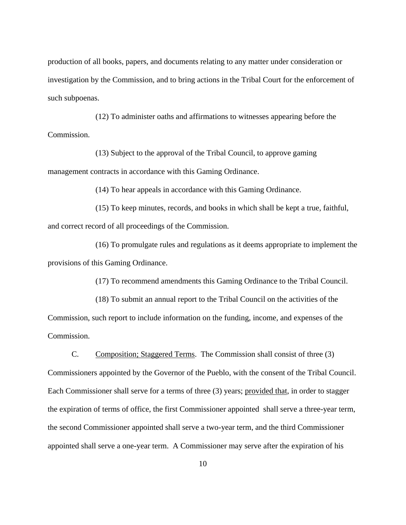production of all books, papers, and documents relating to any matter under consideration or investigation by the Commission, and to bring actions in the Tribal Court for the enforcement of such subpoenas.

(12) To administer oaths and affirmations to witnesses appearing before the Commission.

(13) Subject to the approval of the Tribal Council, to approve gaming management contracts in accordance with this Gaming Ordinance.

(14) To hear appeals in accordance with this Gaming Ordinance.

(15) To keep minutes, records, and books in which shall be kept a true, faithful, and correct record of all proceedings of the Commission.

(16) To promulgate rules and regulations as it deems appropriate to implement the provisions of this Gaming Ordinance.

(17) To recommend amendments this Gaming Ordinance to the Tribal Council.

(18) To submit an annual report to the Tribal Council on the activities of the

Commission, such report to include information on the funding, income, and expenses of the Commission.

<span id="page-16-0"></span>C. Composition; Staggered Terms. The Commission shall consist of three (3) Commissioners appointed by the Governor of the Pueblo, with the consent of the Tribal Council. Each Commissioner shall serve for a terms of three (3) years; provided that, in order to stagger the expiration of terms of office, the first Commissioner appointed shall serve a three-year term, the second Commissioner appointed shall serve a two-year term, and the third Commissioner appointed shall serve a one-year term. A Commissioner may serve after the expiration of his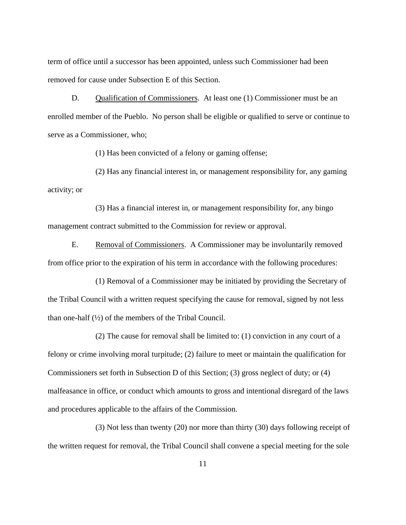term of office until a successor has been appointed, unless such Commissioner had been removed for cause under Subsection E of this Section.

<span id="page-17-0"></span>D. Qualification of Commissioners. At least one (1) Commissioner must be an enrolled member of the Pueblo. No person shall be eligible or qualified to serve or continue to serve as a Commissioner, who;

(1) Has been convicted of a felony or gaming offense;

(2) Has any financial interest in, or management responsibility for, any gaming activity; or

(3) Has a financial interest in, or management responsibility for, any bingo management contract submitted to the Commission for review or approval.

<span id="page-17-1"></span>E. Removal of Commissioners. A Commissioner may be involuntarily removed from office prior to the expiration of his term in accordance with the following procedures:

(1) Removal of a Commissioner may be initiated by providing the Secretary of the Tribal Council with a written request specifying the cause for removal, signed by not less than one-half  $(\frac{1}{2})$  of the members of the Tribal Council.

(2) The cause for removal shall be limited to: (1) conviction in any court of a felony or crime involving moral turpitude; (2) failure to meet or maintain the qualification for Commissioners set forth in Subsection D of this Section; (3) gross neglect of duty; or (4) malfeasance in office, or conduct which amounts to gross and intentional disregard of the laws and procedures applicable to the affairs of the Commission.

(3) Not less than twenty (20) nor more than thirty (30) days following receipt of the written request for removal, the Tribal Council shall convene a special meeting for the sole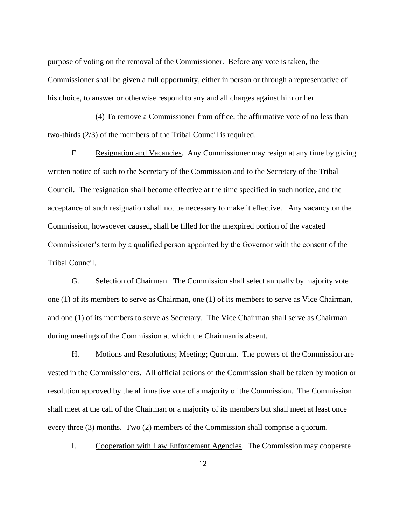purpose of voting on the removal of the Commissioner. Before any vote is taken, the Commissioner shall be given a full opportunity, either in person or through a representative of his choice, to answer or otherwise respond to any and all charges against him or her.

(4) To remove a Commissioner from office, the affirmative vote of no less than two-thirds (2/3) of the members of the Tribal Council is required.

<span id="page-18-0"></span>F. Resignation and Vacancies. Any Commissioner may resign at any time by giving written notice of such to the Secretary of the Commission and to the Secretary of the Tribal Council. The resignation shall become effective at the time specified in such notice, and the acceptance of such resignation shall not be necessary to make it effective. Any vacancy on the Commission, howsoever caused, shall be filled for the unexpired portion of the vacated Commissioner's term by a qualified person appointed by the Governor with the consent of the Tribal Council.

<span id="page-18-1"></span>G. Selection of Chairman. The Commission shall select annually by majority vote one (1) of its members to serve as Chairman, one (1) of its members to serve as Vice Chairman, and one (1) of its members to serve as Secretary. The Vice Chairman shall serve as Chairman during meetings of the Commission at which the Chairman is absent.

<span id="page-18-2"></span>H. Motions and Resolutions; Meeting; Quorum. The powers of the Commission are vested in the Commissioners. All official actions of the Commission shall be taken by motion or resolution approved by the affirmative vote of a majority of the Commission. The Commission shall meet at the call of the Chairman or a majority of its members but shall meet at least once every three (3) months. Two (2) members of the Commission shall comprise a quorum.

<span id="page-18-3"></span>I. Cooperation with Law Enforcement Agencies. The Commission may cooperate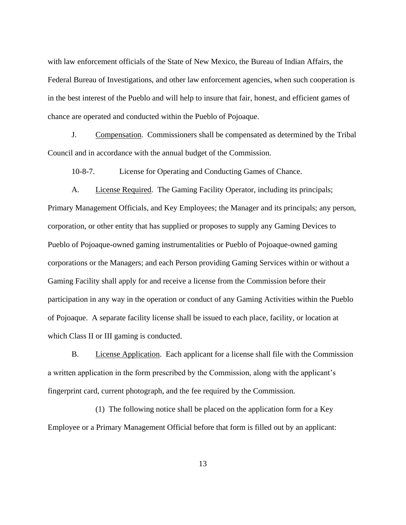with law enforcement officials of the State of New Mexico, the Bureau of Indian Affairs, the Federal Bureau of Investigations, and other law enforcement agencies, when such cooperation is in the best interest of the Pueblo and will help to insure that fair, honest, and efficient games of chance are operated and conducted within the Pueblo of Pojoaque.

<span id="page-19-0"></span>J. Compensation. Commissioners shall be compensated as determined by the Tribal Council and in accordance with the annual budget of the Commission.

<span id="page-19-2"></span>10-8-7. License for Operating and Conducting Games of Chance.

<span id="page-19-1"></span>A. License Required. The Gaming Facility Operator, including its principals; Primary Management Officials, and Key Employees; the Manager and its principals; any person, corporation, or other entity that has supplied or proposes to supply any Gaming Devices to Pueblo of Pojoaque-owned gaming instrumentalities or Pueblo of Pojoaque-owned gaming corporations or the Managers; and each Person providing Gaming Services within or without a Gaming Facility shall apply for and receive a license from the Commission before their participation in any way in the operation or conduct of any Gaming Activities within the Pueblo of Pojoaque. A separate facility license shall be issued to each place, facility, or location at which Class II or III gaming is conducted.

<span id="page-19-3"></span>B. License Application. Each applicant for a license shall file with the Commission a written application in the form prescribed by the Commission, along with the applicant's fingerprint card, current photograph, and the fee required by the Commission.

(1) The following notice shall be placed on the application form for a Key Employee or a Primary Management Official before that form is filled out by an applicant:

13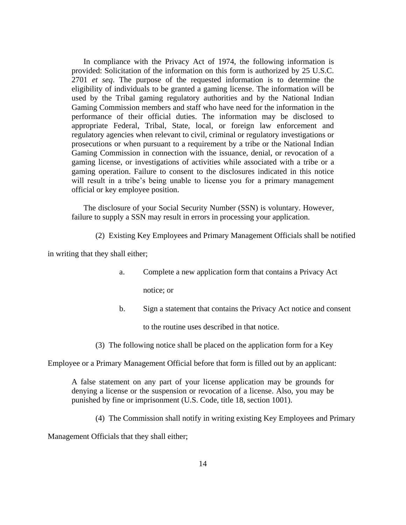In compliance with the Privacy Act of 1974, the following information is provided: Solicitation of the information on this form is authorized by 25 U.S.C. 2701 *et seq*. The purpose of the requested information is to determine the eligibility of individuals to be granted a gaming license. The information will be used by the Tribal gaming regulatory authorities and by the National Indian Gaming Commission members and staff who have need for the information in the performance of their official duties. The information may be disclosed to appropriate Federal, Tribal, State, local, or foreign law enforcement and regulatory agencies when relevant to civil, criminal or regulatory investigations or prosecutions or when pursuant to a requirement by a tribe or the National Indian Gaming Commission in connection with the issuance, denial, or revocation of a gaming license, or investigations of activities while associated with a tribe or a gaming operation. Failure to consent to the disclosures indicated in this notice will result in a tribe's being unable to license you for a primary management official or key employee position.

The disclosure of your Social Security Number (SSN) is voluntary. However, failure to supply a SSN may result in errors in processing your application.

(2) Existing Key Employees and Primary Management Officials shall be notified

in writing that they shall either;

a. Complete a new application form that contains a Privacy Act

notice; or

b. Sign a statement that contains the Privacy Act notice and consent

to the routine uses described in that notice.

(3) The following notice shall be placed on the application form for a Key

Employee or a Primary Management Official before that form is filled out by an applicant:

A false statement on any part of your license application may be grounds for denying a license or the suspension or revocation of a license. Also, you may be punished by fine or imprisonment (U.S. Code, title 18, section 1001).

(4) The Commission shall notify in writing existing Key Employees and Primary

Management Officials that they shall either;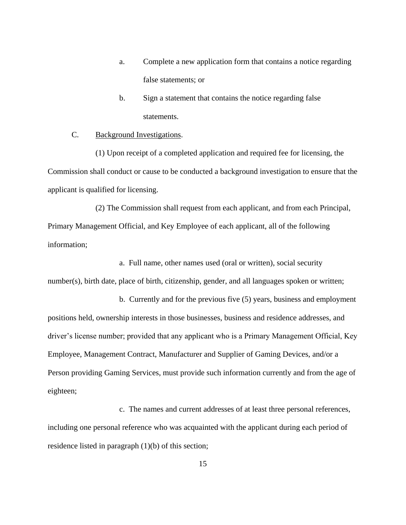- a. Complete a new application form that contains a notice regarding false statements; or
- b. Sign a statement that contains the notice regarding false statements.

#### <span id="page-21-0"></span>C. Background Investigations.

(1) Upon receipt of a completed application and required fee for licensing, the Commission shall conduct or cause to be conducted a background investigation to ensure that the applicant is qualified for licensing.

(2) The Commission shall request from each applicant, and from each Principal, Primary Management Official, and Key Employee of each applicant, all of the following information;

a. Full name, other names used (oral or written), social security number(s), birth date, place of birth, citizenship, gender, and all languages spoken or written;

b. Currently and for the previous five (5) years, business and employment positions held, ownership interests in those businesses, business and residence addresses, and driver's license number; provided that any applicant who is a Primary Management Official, Key Employee, Management Contract, Manufacturer and Supplier of Gaming Devices, and/or a Person providing Gaming Services, must provide such information currently and from the age of eighteen;

c. The names and current addresses of at least three personal references, including one personal reference who was acquainted with the applicant during each period of residence listed in paragraph (1)(b) of this section;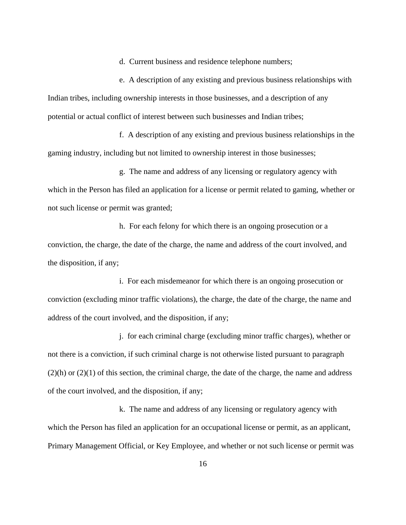d. Current business and residence telephone numbers;

e. A description of any existing and previous business relationships with Indian tribes, including ownership interests in those businesses, and a description of any potential or actual conflict of interest between such businesses and Indian tribes;

f. A description of any existing and previous business relationships in the gaming industry, including but not limited to ownership interest in those businesses;

g. The name and address of any licensing or regulatory agency with which in the Person has filed an application for a license or permit related to gaming, whether or not such license or permit was granted;

h. For each felony for which there is an ongoing prosecution or a conviction, the charge, the date of the charge, the name and address of the court involved, and the disposition, if any;

i. For each misdemeanor for which there is an ongoing prosecution or conviction (excluding minor traffic violations), the charge, the date of the charge, the name and address of the court involved, and the disposition, if any;

j. for each criminal charge (excluding minor traffic charges), whether or not there is a conviction, if such criminal charge is not otherwise listed pursuant to paragraph  $(2)(h)$  or  $(2)(1)$  of this section, the criminal charge, the date of the charge, the name and address of the court involved, and the disposition, if any;

k. The name and address of any licensing or regulatory agency with which the Person has filed an application for an occupational license or permit, as an applicant, Primary Management Official, or Key Employee, and whether or not such license or permit was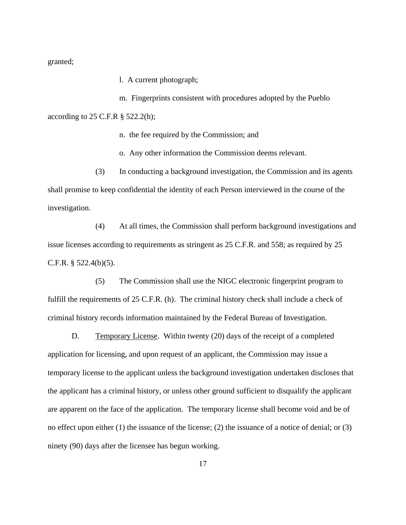granted;

l. A current photograph;

m. Fingerprints consistent with procedures adopted by the Pueblo according to 25 C.F.R § 522.2(h);

n. the fee required by the Commission; and

o. Any other information the Commission deems relevant.

(3) In conducting a background investigation, the Commission and its agents shall promise to keep confidential the identity of each Person interviewed in the course of the investigation.

(4) At all times, the Commission shall perform background investigations and issue licenses according to requirements as stringent as 25 C.F.R. and 558; as required by 25 C.F.R. § 522.4(b)(5).

(5) The Commission shall use the NIGC electronic fingerprint program to fulfill the requirements of 25 C.F.R. (h). The criminal history check shall include a check of criminal history records information maintained by the Federal Bureau of Investigation.

<span id="page-23-0"></span>D. Temporary License. Within twenty (20) days of the receipt of a completed application for licensing, and upon request of an applicant, the Commission may issue a temporary license to the applicant unless the background investigation undertaken discloses that the applicant has a criminal history, or unless other ground sufficient to disqualify the applicant are apparent on the face of the application. The temporary license shall become void and be of no effect upon either (1) the issuance of the license; (2) the issuance of a notice of denial; or (3) ninety (90) days after the licensee has begun working.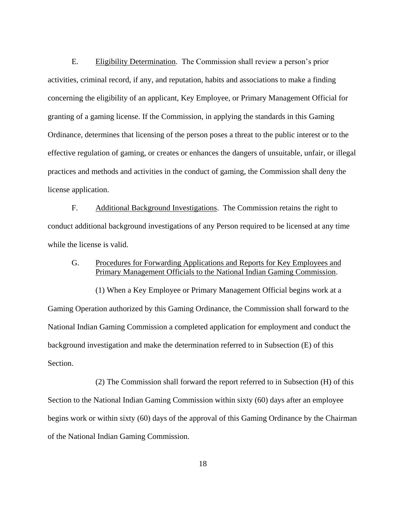<span id="page-24-0"></span>E. Eligibility Determination. The Commission shall review a person's prior activities, criminal record, if any, and reputation, habits and associations to make a finding concerning the eligibility of an applicant, Key Employee, or Primary Management Official for granting of a gaming license. If the Commission, in applying the standards in this Gaming Ordinance, determines that licensing of the person poses a threat to the public interest or to the effective regulation of gaming, or creates or enhances the dangers of unsuitable, unfair, or illegal practices and methods and activities in the conduct of gaming, the Commission shall deny the license application.

<span id="page-24-1"></span>F. Additional Background Investigations. The Commission retains the right to conduct additional background investigations of any Person required to be licensed at any time while the license is valid.

### <span id="page-24-2"></span>G. Procedures for Forwarding Applications and Reports for Key Employees and Primary Management Officials to the National Indian Gaming Commission.

(1) When a Key Employee or Primary Management Official begins work at a Gaming Operation authorized by this Gaming Ordinance, the Commission shall forward to the National Indian Gaming Commission a completed application for employment and conduct the background investigation and make the determination referred to in Subsection (E) of this Section.

(2) The Commission shall forward the report referred to in Subsection (H) of this Section to the National Indian Gaming Commission within sixty (60) days after an employee begins work or within sixty (60) days of the approval of this Gaming Ordinance by the Chairman of the National Indian Gaming Commission.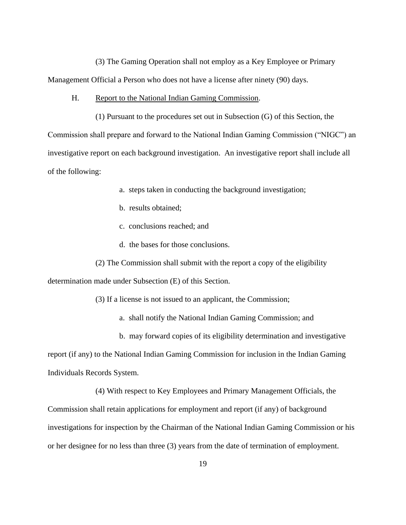(3) The Gaming Operation shall not employ as a Key Employee or Primary Management Official a Person who does not have a license after ninety (90) days.

<span id="page-25-0"></span>H. Report to the National Indian Gaming Commission.

(1) Pursuant to the procedures set out in Subsection (G) of this Section, the Commission shall prepare and forward to the National Indian Gaming Commission ("NIGC") an investigative report on each background investigation. An investigative report shall include all of the following:

- a. steps taken in conducting the background investigation;
- b. results obtained;
- c. conclusions reached; and
- d. the bases for those conclusions.
- (2) The Commission shall submit with the report a copy of the eligibility

determination made under Subsection (E) of this Section.

(3) If a license is not issued to an applicant, the Commission;

a. shall notify the National Indian Gaming Commission; and

b. may forward copies of its eligibility determination and investigative

report (if any) to the National Indian Gaming Commission for inclusion in the Indian Gaming Individuals Records System.

(4) With respect to Key Employees and Primary Management Officials, the Commission shall retain applications for employment and report (if any) of background investigations for inspection by the Chairman of the National Indian Gaming Commission or his or her designee for no less than three (3) years from the date of termination of employment.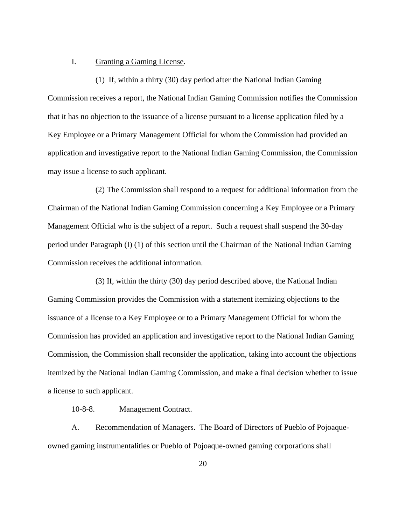#### <span id="page-26-0"></span>I. Granting a Gaming License.

(1) If, within a thirty (30) day period after the National Indian Gaming Commission receives a report, the National Indian Gaming Commission notifies the Commission that it has no objection to the issuance of a license pursuant to a license application filed by a Key Employee or a Primary Management Official for whom the Commission had provided an application and investigative report to the National Indian Gaming Commission, the Commission may issue a license to such applicant.

(2) The Commission shall respond to a request for additional information from the Chairman of the National Indian Gaming Commission concerning a Key Employee or a Primary Management Official who is the subject of a report. Such a request shall suspend the 30-day period under Paragraph (I) (1) of this section until the Chairman of the National Indian Gaming Commission receives the additional information.

(3) If, within the thirty (30) day period described above, the National Indian Gaming Commission provides the Commission with a statement itemizing objections to the issuance of a license to a Key Employee or to a Primary Management Official for whom the Commission has provided an application and investigative report to the National Indian Gaming Commission, the Commission shall reconsider the application, taking into account the objections itemized by the National Indian Gaming Commission, and make a final decision whether to issue a license to such applicant.

<span id="page-26-2"></span>10-8-8. Management Contract.

<span id="page-26-1"></span>A. Recommendation of Managers. The Board of Directors of Pueblo of Pojoaqueowned gaming instrumentalities or Pueblo of Pojoaque-owned gaming corporations shall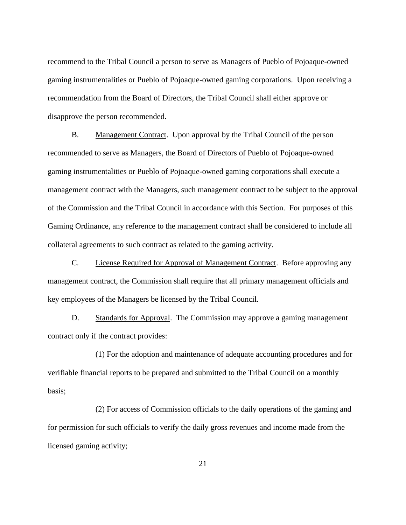recommend to the Tribal Council a person to serve as Managers of Pueblo of Pojoaque-owned gaming instrumentalities or Pueblo of Pojoaque-owned gaming corporations. Upon receiving a recommendation from the Board of Directors, the Tribal Council shall either approve or disapprove the person recommended.

<span id="page-27-0"></span>B. Management Contract. Upon approval by the Tribal Council of the person recommended to serve as Managers, the Board of Directors of Pueblo of Pojoaque-owned gaming instrumentalities or Pueblo of Pojoaque-owned gaming corporations shall execute a management contract with the Managers, such management contract to be subject to the approval of the Commission and the Tribal Council in accordance with this Section. For purposes of this Gaming Ordinance, any reference to the management contract shall be considered to include all collateral agreements to such contract as related to the gaming activity.

<span id="page-27-1"></span>C. License Required for Approval of Management Contract. Before approving any management contract, the Commission shall require that all primary management officials and key employees of the Managers be licensed by the Tribal Council.

<span id="page-27-2"></span>D. Standards for Approval. The Commission may approve a gaming management contract only if the contract provides:

(1) For the adoption and maintenance of adequate accounting procedures and for verifiable financial reports to be prepared and submitted to the Tribal Council on a monthly basis;

(2) For access of Commission officials to the daily operations of the gaming and for permission for such officials to verify the daily gross revenues and income made from the licensed gaming activity;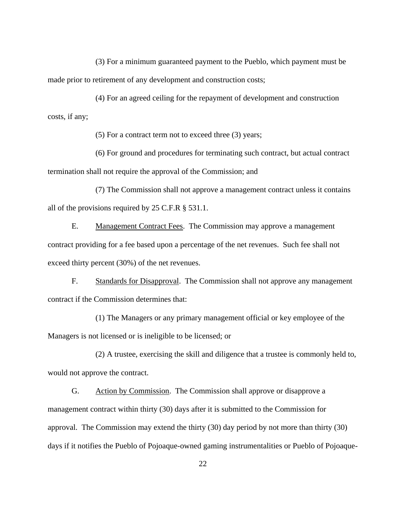(3) For a minimum guaranteed payment to the Pueblo, which payment must be made prior to retirement of any development and construction costs;

(4) For an agreed ceiling for the repayment of development and construction costs, if any;

(5) For a contract term not to exceed three (3) years;

(6) For ground and procedures for terminating such contract, but actual contract termination shall not require the approval of the Commission; and

(7) The Commission shall not approve a management contract unless it contains all of the provisions required by 25 C.F.R § 531.1.

<span id="page-28-0"></span>E. Management Contract Fees. The Commission may approve a management contract providing for a fee based upon a percentage of the net revenues. Such fee shall not exceed thirty percent (30%) of the net revenues.

<span id="page-28-1"></span>F. Standards for Disapproval. The Commission shall not approve any management contract if the Commission determines that:

(1) The Managers or any primary management official or key employee of the Managers is not licensed or is ineligible to be licensed; or

(2) A trustee, exercising the skill and diligence that a trustee is commonly held to, would not approve the contract.

<span id="page-28-2"></span>G. Action by Commission. The Commission shall approve or disapprove a management contract within thirty (30) days after it is submitted to the Commission for approval. The Commission may extend the thirty (30) day period by not more than thirty (30) days if it notifies the Pueblo of Pojoaque-owned gaming instrumentalities or Pueblo of Pojoaque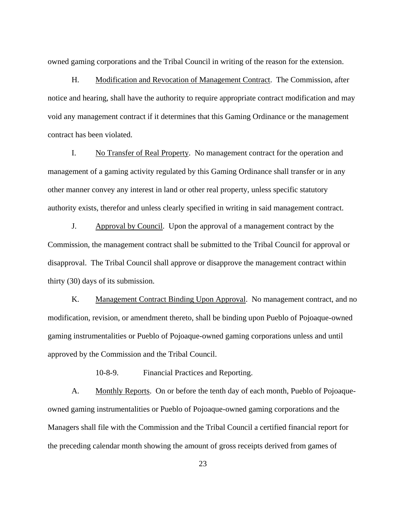owned gaming corporations and the Tribal Council in writing of the reason for the extension.

<span id="page-29-0"></span>H. Modification and Revocation of Management Contract. The Commission, after notice and hearing, shall have the authority to require appropriate contract modification and may void any management contract if it determines that this Gaming Ordinance or the management contract has been violated.

<span id="page-29-1"></span>I. No Transfer of Real Property. No management contract for the operation and management of a gaming activity regulated by this Gaming Ordinance shall transfer or in any other manner convey any interest in land or other real property, unless specific statutory authority exists, therefor and unless clearly specified in writing in said management contract.

<span id="page-29-2"></span>J. Approval by Council. Upon the approval of a management contract by the Commission, the management contract shall be submitted to the Tribal Council for approval or disapproval. The Tribal Council shall approve or disapprove the management contract within thirty (30) days of its submission.

<span id="page-29-3"></span>K. Management Contract Binding Upon Approval. No management contract, and no modification, revision, or amendment thereto, shall be binding upon Pueblo of Pojoaque-owned gaming instrumentalities or Pueblo of Pojoaque-owned gaming corporations unless and until approved by the Commission and the Tribal Council.

<span id="page-29-4"></span>10-8-9. Financial Practices and Reporting.

<span id="page-29-5"></span>A. Monthly Reports. On or before the tenth day of each month, Pueblo of Pojoaqueowned gaming instrumentalities or Pueblo of Pojoaque-owned gaming corporations and the Managers shall file with the Commission and the Tribal Council a certified financial report for the preceding calendar month showing the amount of gross receipts derived from games of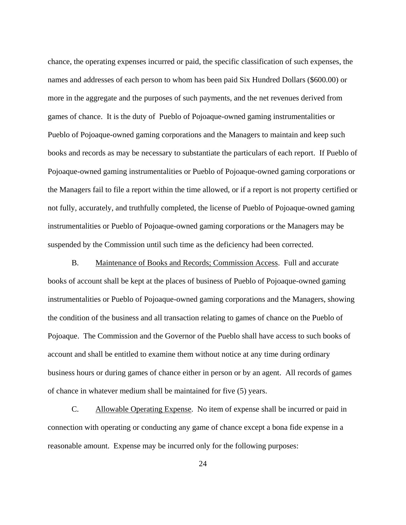chance, the operating expenses incurred or paid, the specific classification of such expenses, the names and addresses of each person to whom has been paid Six Hundred Dollars (\$600.00) or more in the aggregate and the purposes of such payments, and the net revenues derived from games of chance. It is the duty of Pueblo of Pojoaque-owned gaming instrumentalities or Pueblo of Pojoaque-owned gaming corporations and the Managers to maintain and keep such books and records as may be necessary to substantiate the particulars of each report. If Pueblo of Pojoaque-owned gaming instrumentalities or Pueblo of Pojoaque-owned gaming corporations or the Managers fail to file a report within the time allowed, or if a report is not property certified or not fully, accurately, and truthfully completed, the license of Pueblo of Pojoaque-owned gaming instrumentalities or Pueblo of Pojoaque-owned gaming corporations or the Managers may be suspended by the Commission until such time as the deficiency had been corrected.

<span id="page-30-0"></span>B. Maintenance of Books and Records; Commission Access. Full and accurate books of account shall be kept at the places of business of Pueblo of Pojoaque-owned gaming instrumentalities or Pueblo of Pojoaque-owned gaming corporations and the Managers, showing the condition of the business and all transaction relating to games of chance on the Pueblo of Pojoaque. The Commission and the Governor of the Pueblo shall have access to such books of account and shall be entitled to examine them without notice at any time during ordinary business hours or during games of chance either in person or by an agent. All records of games of chance in whatever medium shall be maintained for five (5) years.

<span id="page-30-1"></span>C. Allowable Operating Expense. No item of expense shall be incurred or paid in connection with operating or conducting any game of chance except a bona fide expense in a reasonable amount. Expense may be incurred only for the following purposes: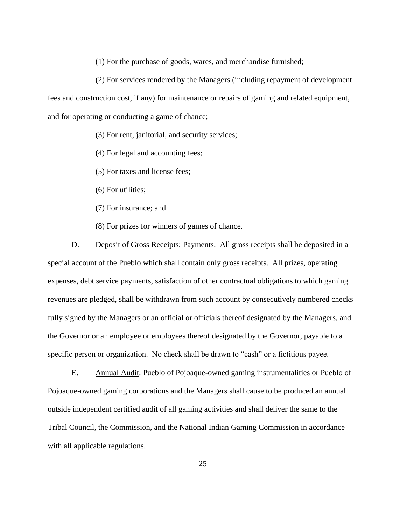(1) For the purchase of goods, wares, and merchandise furnished;

(2) For services rendered by the Managers (including repayment of development fees and construction cost, if any) for maintenance or repairs of gaming and related equipment, and for operating or conducting a game of chance;

(3) For rent, janitorial, and security services;

(4) For legal and accounting fees;

(5) For taxes and license fees;

(6) For utilities;

(7) For insurance; and

(8) For prizes for winners of games of chance.

<span id="page-31-0"></span>D. Deposit of Gross Receipts; Payments. All gross receipts shall be deposited in a special account of the Pueblo which shall contain only gross receipts. All prizes, operating expenses, debt service payments, satisfaction of other contractual obligations to which gaming revenues are pledged, shall be withdrawn from such account by consecutively numbered checks fully signed by the Managers or an official or officials thereof designated by the Managers, and the Governor or an employee or employees thereof designated by the Governor, payable to a specific person or organization. No check shall be drawn to "cash" or a fictitious payee.

<span id="page-31-1"></span>E. Annual Audit. Pueblo of Pojoaque-owned gaming instrumentalities or Pueblo of Pojoaque-owned gaming corporations and the Managers shall cause to be produced an annual outside independent certified audit of all gaming activities and shall deliver the same to the Tribal Council, the Commission, and the National Indian Gaming Commission in accordance with all applicable regulations.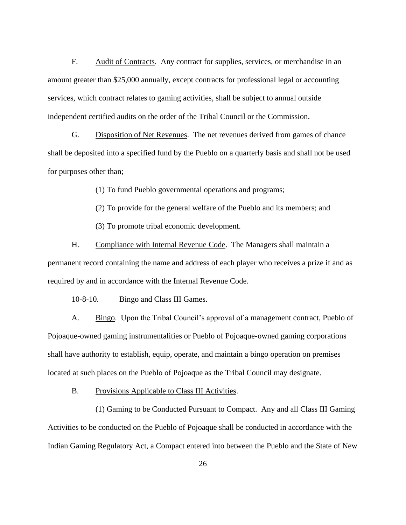<span id="page-32-0"></span>F. Audit of Contracts. Any contract for supplies, services, or merchandise in an amount greater than \$25,000 annually, except contracts for professional legal or accounting services, which contract relates to gaming activities, shall be subject to annual outside independent certified audits on the order of the Tribal Council or the Commission.

<span id="page-32-1"></span>G. Disposition of Net Revenues. The net revenues derived from games of chance shall be deposited into a specified fund by the Pueblo on a quarterly basis and shall not be used for purposes other than;

(1) To fund Pueblo governmental operations and programs;

(2) To provide for the general welfare of the Pueblo and its members; and

(3) To promote tribal economic development.

<span id="page-32-2"></span>H. Compliance with Internal Revenue Code. The Managers shall maintain a permanent record containing the name and address of each player who receives a prize if and as required by and in accordance with the Internal Revenue Code.

<span id="page-32-4"></span>10-8-10. Bingo and Class III Games.

<span id="page-32-3"></span>A. Bingo. Upon the Tribal Council's approval of a management contract, Pueblo of Pojoaque-owned gaming instrumentalities or Pueblo of Pojoaque-owned gaming corporations shall have authority to establish, equip, operate, and maintain a bingo operation on premises located at such places on the Pueblo of Pojoaque as the Tribal Council may designate.

<span id="page-32-5"></span>B. Provisions Applicable to Class III Activities.

(1) Gaming to be Conducted Pursuant to Compact. Any and all Class III Gaming Activities to be conducted on the Pueblo of Pojoaque shall be conducted in accordance with the Indian Gaming Regulatory Act, a Compact entered into between the Pueblo and the State of New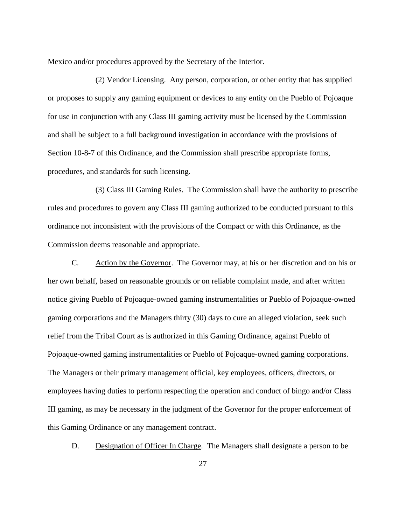Mexico and/or procedures approved by the Secretary of the Interior.

(2) Vendor Licensing. Any person, corporation, or other entity that has supplied or proposes to supply any gaming equipment or devices to any entity on the Pueblo of Pojoaque for use in conjunction with any Class III gaming activity must be licensed by the Commission and shall be subject to a full background investigation in accordance with the provisions of Section 10-8-7 of this Ordinance, and the Commission shall prescribe appropriate forms, procedures, and standards for such licensing.

(3) Class III Gaming Rules. The Commission shall have the authority to prescribe rules and procedures to govern any Class III gaming authorized to be conducted pursuant to this ordinance not inconsistent with the provisions of the Compact or with this Ordinance, as the Commission deems reasonable and appropriate.

<span id="page-33-0"></span>C. Action by the Governor. The Governor may, at his or her discretion and on his or her own behalf, based on reasonable grounds or on reliable complaint made, and after written notice giving Pueblo of Pojoaque-owned gaming instrumentalities or Pueblo of Pojoaque-owned gaming corporations and the Managers thirty (30) days to cure an alleged violation, seek such relief from the Tribal Court as is authorized in this Gaming Ordinance, against Pueblo of Pojoaque-owned gaming instrumentalities or Pueblo of Pojoaque-owned gaming corporations. The Managers or their primary management official, key employees, officers, directors, or employees having duties to perform respecting the operation and conduct of bingo and/or Class III gaming, as may be necessary in the judgment of the Governor for the proper enforcement of this Gaming Ordinance or any management contract.

<span id="page-33-1"></span>D. Designation of Officer In Charge. The Managers shall designate a person to be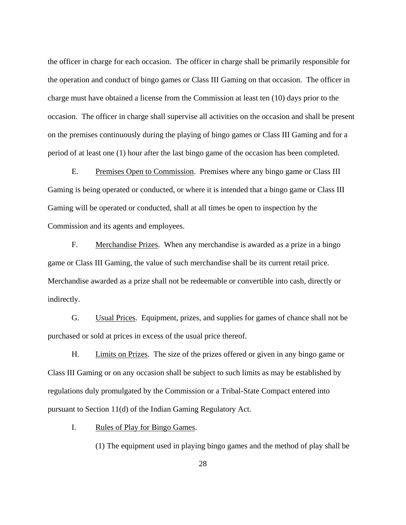the officer in charge for each occasion. The officer in charge shall be primarily responsible for the operation and conduct of bingo games or Class III Gaming on that occasion. The officer in charge must have obtained a license from the Commission at least ten (10) days prior to the occasion. The officer in charge shall supervise all activities on the occasion and shall be present on the premises continuously during the playing of bingo games or Class III Gaming and for a period of at least one (1) hour after the last bingo game of the occasion has been completed.

<span id="page-34-0"></span>E. Premises Open to Commission. Premises where any bingo game or Class III Gaming is being operated or conducted, or where it is intended that a bingo game or Class III Gaming will be operated or conducted, shall at all times be open to inspection by the Commission and its agents and employees.

<span id="page-34-1"></span>F. Merchandise Prizes. When any merchandise is awarded as a prize in a bingo game or Class III Gaming, the value of such merchandise shall be its current retail price. Merchandise awarded as a prize shall not be redeemable or convertible into cash, directly or indirectly.

<span id="page-34-2"></span>G. Usual Prices. Equipment, prizes, and supplies for games of chance shall not be purchased or sold at prices in excess of the usual price thereof.

<span id="page-34-3"></span>H. Limits on Prizes. The size of the prizes offered or given in any bingo game or Class III Gaming or on any occasion shall be subject to such limits as may be established by regulations duly promulgated by the Commission or a Tribal-State Compact entered into pursuant to Section 11(d) of the Indian Gaming Regulatory Act.

<span id="page-34-4"></span>I. Rules of Play for Bingo Games.

(1) The equipment used in playing bingo games and the method of play shall be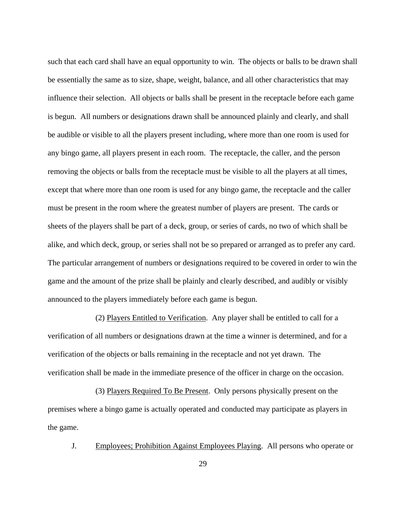such that each card shall have an equal opportunity to win. The objects or balls to be drawn shall be essentially the same as to size, shape, weight, balance, and all other characteristics that may influence their selection. All objects or balls shall be present in the receptacle before each game is begun. All numbers or designations drawn shall be announced plainly and clearly, and shall be audible or visible to all the players present including, where more than one room is used for any bingo game, all players present in each room. The receptacle, the caller, and the person removing the objects or balls from the receptacle must be visible to all the players at all times, except that where more than one room is used for any bingo game, the receptacle and the caller must be present in the room where the greatest number of players are present. The cards or sheets of the players shall be part of a deck, group, or series of cards, no two of which shall be alike, and which deck, group, or series shall not be so prepared or arranged as to prefer any card. The particular arrangement of numbers or designations required to be covered in order to win the game and the amount of the prize shall be plainly and clearly described, and audibly or visibly announced to the players immediately before each game is begun.

(2) Players Entitled to Verification. Any player shall be entitled to call for a verification of all numbers or designations drawn at the time a winner is determined, and for a verification of the objects or balls remaining in the receptacle and not yet drawn. The verification shall be made in the immediate presence of the officer in charge on the occasion.

(3) Players Required To Be Present. Only persons physically present on the premises where a bingo game is actually operated and conducted may participate as players in the game.

<span id="page-35-0"></span>J. Employees; Prohibition Against Employees Playing. All persons who operate or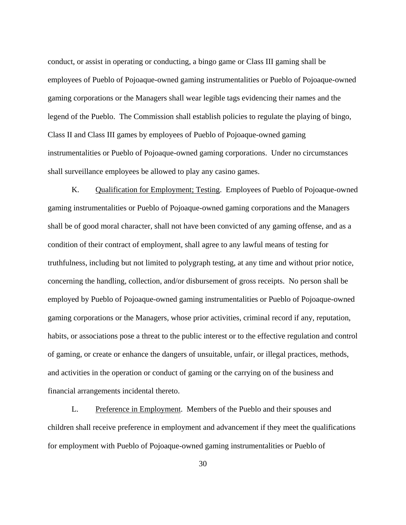conduct, or assist in operating or conducting, a bingo game or Class III gaming shall be employees of Pueblo of Pojoaque-owned gaming instrumentalities or Pueblo of Pojoaque-owned gaming corporations or the Managers shall wear legible tags evidencing their names and the legend of the Pueblo. The Commission shall establish policies to regulate the playing of bingo, Class II and Class III games by employees of Pueblo of Pojoaque-owned gaming instrumentalities or Pueblo of Pojoaque-owned gaming corporations. Under no circumstances shall surveillance employees be allowed to play any casino games.

<span id="page-36-0"></span>K. Qualification for Employment; Testing. Employees of Pueblo of Pojoaque-owned gaming instrumentalities or Pueblo of Pojoaque-owned gaming corporations and the Managers shall be of good moral character, shall not have been convicted of any gaming offense, and as a condition of their contract of employment, shall agree to any lawful means of testing for truthfulness, including but not limited to polygraph testing, at any time and without prior notice, concerning the handling, collection, and/or disbursement of gross receipts. No person shall be employed by Pueblo of Pojoaque-owned gaming instrumentalities or Pueblo of Pojoaque-owned gaming corporations or the Managers, whose prior activities, criminal record if any, reputation, habits, or associations pose a threat to the public interest or to the effective regulation and control of gaming, or create or enhance the dangers of unsuitable, unfair, or illegal practices, methods, and activities in the operation or conduct of gaming or the carrying on of the business and financial arrangements incidental thereto.

<span id="page-36-1"></span>L. Preference in Employment. Members of the Pueblo and their spouses and children shall receive preference in employment and advancement if they meet the qualifications for employment with Pueblo of Pojoaque-owned gaming instrumentalities or Pueblo of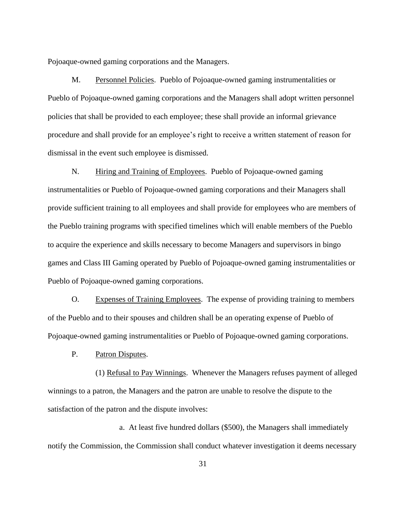Pojoaque-owned gaming corporations and the Managers.

<span id="page-37-0"></span>M. Personnel Policies. Pueblo of Pojoaque-owned gaming instrumentalities or Pueblo of Pojoaque-owned gaming corporations and the Managers shall adopt written personnel policies that shall be provided to each employee; these shall provide an informal grievance procedure and shall provide for an employee's right to receive a written statement of reason for dismissal in the event such employee is dismissed.

<span id="page-37-1"></span>N. Hiring and Training of Employees. Pueblo of Pojoaque-owned gaming instrumentalities or Pueblo of Pojoaque-owned gaming corporations and their Managers shall provide sufficient training to all employees and shall provide for employees who are members of the Pueblo training programs with specified timelines which will enable members of the Pueblo to acquire the experience and skills necessary to become Managers and supervisors in bingo games and Class III Gaming operated by Pueblo of Pojoaque-owned gaming instrumentalities or Pueblo of Pojoaque-owned gaming corporations.

<span id="page-37-2"></span>O. Expenses of Training Employees. The expense of providing training to members of the Pueblo and to their spouses and children shall be an operating expense of Pueblo of Pojoaque-owned gaming instrumentalities or Pueblo of Pojoaque-owned gaming corporations.

<span id="page-37-3"></span>P. Patron Disputes.

(1) Refusal to Pay Winnings. Whenever the Managers refuses payment of alleged winnings to a patron, the Managers and the patron are unable to resolve the dispute to the satisfaction of the patron and the dispute involves:

a. At least five hundred dollars (\$500), the Managers shall immediately notify the Commission, the Commission shall conduct whatever investigation it deems necessary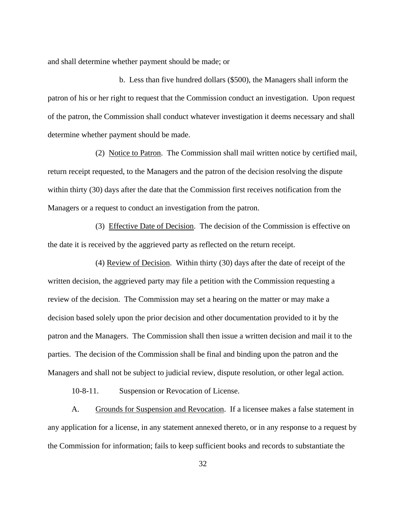and shall determine whether payment should be made; or

b. Less than five hundred dollars (\$500), the Managers shall inform the patron of his or her right to request that the Commission conduct an investigation. Upon request of the patron, the Commission shall conduct whatever investigation it deems necessary and shall determine whether payment should be made.

(2) Notice to Patron. The Commission shall mail written notice by certified mail, return receipt requested, to the Managers and the patron of the decision resolving the dispute within thirty (30) days after the date that the Commission first receives notification from the Managers or a request to conduct an investigation from the patron.

(3) Effective Date of Decision. The decision of the Commission is effective on the date it is received by the aggrieved party as reflected on the return receipt.

(4) Review of Decision. Within thirty (30) days after the date of receipt of the written decision, the aggrieved party may file a petition with the Commission requesting a review of the decision. The Commission may set a hearing on the matter or may make a decision based solely upon the prior decision and other documentation provided to it by the patron and the Managers. The Commission shall then issue a written decision and mail it to the parties. The decision of the Commission shall be final and binding upon the patron and the Managers and shall not be subject to judicial review, dispute resolution, or other legal action.

<span id="page-38-1"></span>10-8-11. Suspension or Revocation of License.

<span id="page-38-0"></span>A. Grounds for Suspension and Revocation. If a licensee makes a false statement in any application for a license, in any statement annexed thereto, or in any response to a request by the Commission for information; fails to keep sufficient books and records to substantiate the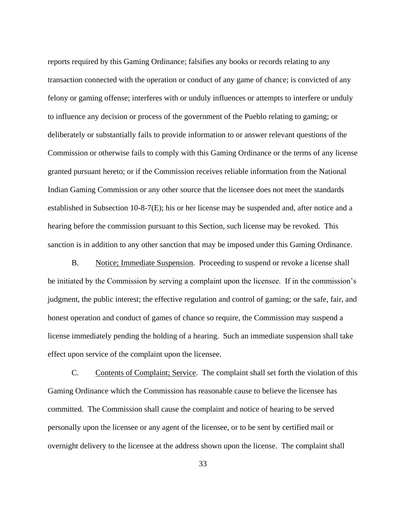reports required by this Gaming Ordinance; falsifies any books or records relating to any transaction connected with the operation or conduct of any game of chance; is convicted of any felony or gaming offense; interferes with or unduly influences or attempts to interfere or unduly to influence any decision or process of the government of the Pueblo relating to gaming; or deliberately or substantially fails to provide information to or answer relevant questions of the Commission or otherwise fails to comply with this Gaming Ordinance or the terms of any license granted pursuant hereto; or if the Commission receives reliable information from the National Indian Gaming Commission or any other source that the licensee does not meet the standards established in Subsection 10-8-7(E); his or her license may be suspended and, after notice and a hearing before the commission pursuant to this Section, such license may be revoked. This sanction is in addition to any other sanction that may be imposed under this Gaming Ordinance.

<span id="page-39-0"></span>B. Notice; Immediate Suspension. Proceeding to suspend or revoke a license shall be initiated by the Commission by serving a complaint upon the licensee. If in the commission's judgment, the public interest; the effective regulation and control of gaming; or the safe, fair, and honest operation and conduct of games of chance so require, the Commission may suspend a license immediately pending the holding of a hearing. Such an immediate suspension shall take effect upon service of the complaint upon the licensee.

<span id="page-39-1"></span>C. Contents of Complaint; Service. The complaint shall set forth the violation of this Gaming Ordinance which the Commission has reasonable cause to believe the licensee has committed. The Commission shall cause the complaint and notice of hearing to be served personally upon the licensee or any agent of the licensee, or to be sent by certified mail or overnight delivery to the licensee at the address shown upon the license. The complaint shall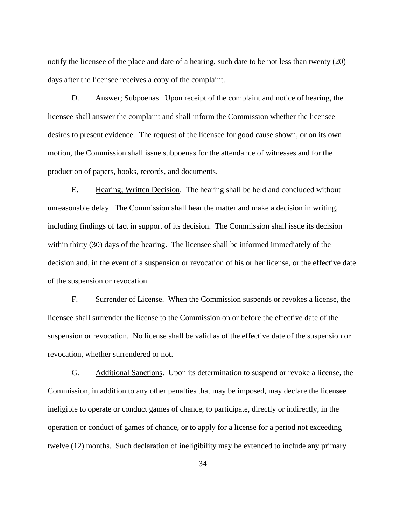notify the licensee of the place and date of a hearing, such date to be not less than twenty (20) days after the licensee receives a copy of the complaint.

<span id="page-40-0"></span>D. Answer; Subpoenas. Upon receipt of the complaint and notice of hearing, the licensee shall answer the complaint and shall inform the Commission whether the licensee desires to present evidence. The request of the licensee for good cause shown, or on its own motion, the Commission shall issue subpoenas for the attendance of witnesses and for the production of papers, books, records, and documents.

<span id="page-40-1"></span>E. Hearing; Written Decision. The hearing shall be held and concluded without unreasonable delay. The Commission shall hear the matter and make a decision in writing, including findings of fact in support of its decision. The Commission shall issue its decision within thirty (30) days of the hearing. The licensee shall be informed immediately of the decision and, in the event of a suspension or revocation of his or her license, or the effective date of the suspension or revocation.

<span id="page-40-2"></span>F. Surrender of License. When the Commission suspends or revokes a license, the licensee shall surrender the license to the Commission on or before the effective date of the suspension or revocation. No license shall be valid as of the effective date of the suspension or revocation, whether surrendered or not.

<span id="page-40-3"></span>G. Additional Sanctions. Upon its determination to suspend or revoke a license, the Commission, in addition to any other penalties that may be imposed, may declare the licensee ineligible to operate or conduct games of chance, to participate, directly or indirectly, in the operation or conduct of games of chance, or to apply for a license for a period not exceeding twelve (12) months. Such declaration of ineligibility may be extended to include any primary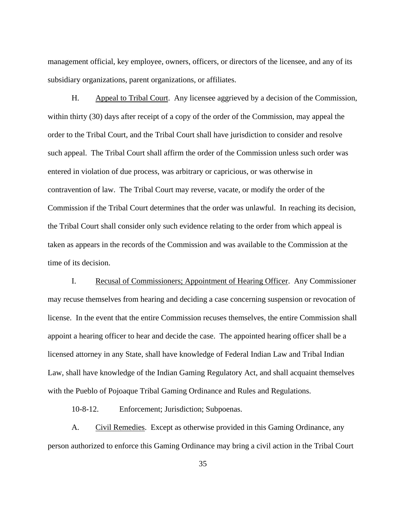management official, key employee, owners, officers, or directors of the licensee, and any of its subsidiary organizations, parent organizations, or affiliates.

<span id="page-41-0"></span>H. Appeal to Tribal Court. Any licensee aggrieved by a decision of the Commission, within thirty (30) days after receipt of a copy of the order of the Commission, may appeal the order to the Tribal Court, and the Tribal Court shall have jurisdiction to consider and resolve such appeal. The Tribal Court shall affirm the order of the Commission unless such order was entered in violation of due process, was arbitrary or capricious, or was otherwise in contravention of law. The Tribal Court may reverse, vacate, or modify the order of the Commission if the Tribal Court determines that the order was unlawful. In reaching its decision, the Tribal Court shall consider only such evidence relating to the order from which appeal is taken as appears in the records of the Commission and was available to the Commission at the time of its decision.

<span id="page-41-1"></span>I. Recusal of Commissioners; Appointment of Hearing Officer. Any Commissioner may recuse themselves from hearing and deciding a case concerning suspension or revocation of license. In the event that the entire Commission recuses themselves, the entire Commission shall appoint a hearing officer to hear and decide the case. The appointed hearing officer shall be a licensed attorney in any State, shall have knowledge of Federal Indian Law and Tribal Indian Law, shall have knowledge of the Indian Gaming Regulatory Act, and shall acquaint themselves with the Pueblo of Pojoaque Tribal Gaming Ordinance and Rules and Regulations.

<span id="page-41-3"></span>10-8-12. Enforcement; Jurisdiction; Subpoenas.

<span id="page-41-2"></span>A. Civil Remedies. Except as otherwise provided in this Gaming Ordinance, any person authorized to enforce this Gaming Ordinance may bring a civil action in the Tribal Court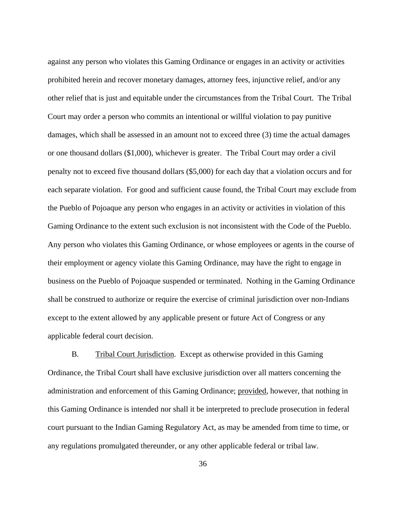against any person who violates this Gaming Ordinance or engages in an activity or activities prohibited herein and recover monetary damages, attorney fees, injunctive relief, and/or any other relief that is just and equitable under the circumstances from the Tribal Court. The Tribal Court may order a person who commits an intentional or willful violation to pay punitive damages, which shall be assessed in an amount not to exceed three (3) time the actual damages or one thousand dollars (\$1,000), whichever is greater. The Tribal Court may order a civil penalty not to exceed five thousand dollars (\$5,000) for each day that a violation occurs and for each separate violation. For good and sufficient cause found, the Tribal Court may exclude from the Pueblo of Pojoaque any person who engages in an activity or activities in violation of this Gaming Ordinance to the extent such exclusion is not inconsistent with the Code of the Pueblo. Any person who violates this Gaming Ordinance, or whose employees or agents in the course of their employment or agency violate this Gaming Ordinance, may have the right to engage in business on the Pueblo of Pojoaque suspended or terminated. Nothing in the Gaming Ordinance shall be construed to authorize or require the exercise of criminal jurisdiction over non-Indians except to the extent allowed by any applicable present or future Act of Congress or any applicable federal court decision.

<span id="page-42-0"></span>B. Tribal Court Jurisdiction. Except as otherwise provided in this Gaming Ordinance, the Tribal Court shall have exclusive jurisdiction over all matters concerning the administration and enforcement of this Gaming Ordinance; provided, however, that nothing in this Gaming Ordinance is intended nor shall it be interpreted to preclude prosecution in federal court pursuant to the Indian Gaming Regulatory Act, as may be amended from time to time, or any regulations promulgated thereunder, or any other applicable federal or tribal law.